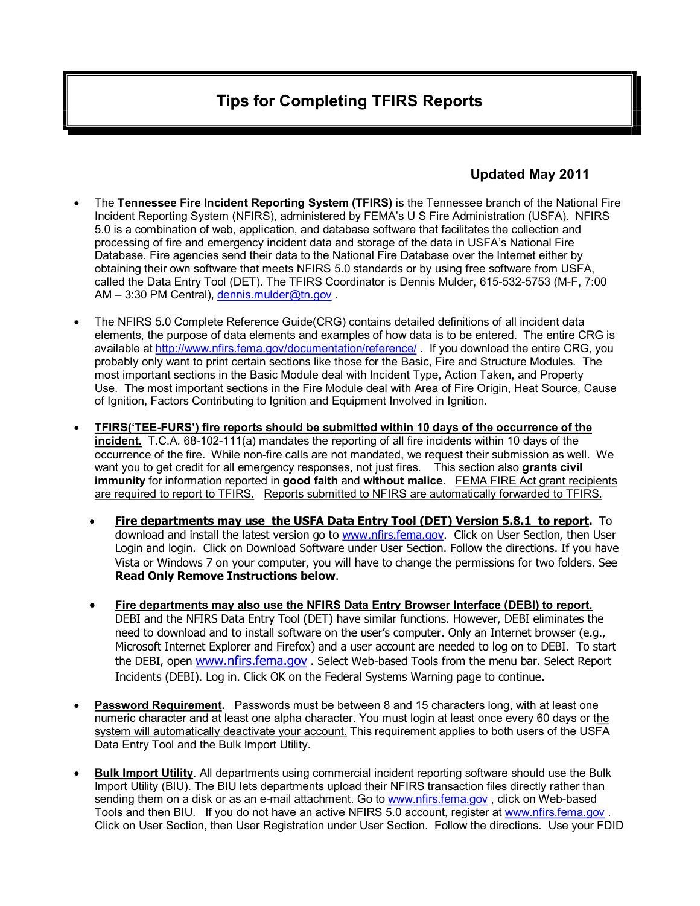## **Tips for Completing TFIRS Reports**

## **Updated May 2011**

- · The **Tennessee Fire Incident Reporting System (TFIRS)** is the Tennessee branch of the National Fire Incident Reporting System (NFIRS), administered by FEMA's U S Fire Administration (USFA). NFIRS 5.0 is a combination of web, application, and database software that facilitates the collection and processing of fire and emergency incident data and storage of the data in USFA's National Fire Database. Fire agencies send their data to the National Fire Database over the Internet either by obtaining their own software that meets NFIRS 5.0 standards or by using free software from USFA, called the Data Entry Tool (DET). The TFIRS Coordinator is Dennis Mulder, 615-532-5753 (M-F, 7:00 AM - 3:30 PM Central), [dennis.mulder@tn.gov](mailto:dennis.mulder@tn.gov).
- · The NFIRS 5.0 Complete Reference Guide(CRG) contains detailed definitions of all incident data elements, the purpose of data elements and examples of how data is to be entered. The entire CRG is available at <http://www.nfirs.fema.gov/documentation/reference/> . If you download the entire CRG, you probably only want to print certain sections like those for the Basic, Fire and Structure Modules. The most important sections in the Basic Module deal with Incident Type, Action Taken, and Property Use. The most important sections in the Fire Module deal with Area of Fire Origin, Heat Source, Cause of Ignition, Factors Contributing to Ignition and Equipment Involved in Ignition.
- · **TFIRS('TEEFURS') fire reports should be submitted within 10 days of the occurrence of the incident.** T.C.A. 68-102-111(a) mandates the reporting of all fire incidents within 10 days of the occurrence of the fire. While non-fire calls are not mandated, we request their submission as well. We want you to get credit for all emergency responses, not just fires. This section also **grants civil immunity** for information reported in **good faith** and **without malice**. FEMA FIRE Act grant recipients are required to report to TFIRS. Reports submitted to NFIRS are automatically forwarded to TFIRS.
	- · **Fire departments may use the USFA Data Entry Tool (DET) Version 5.8.1 to report.**  To download and install the latest version go to [www.nfirs.fema.gov](http://www.nfirs.fema.gov/). Click on User Section, then User Login and login. Click on Download Software under User Section. Follow the directions. If you have Vista or Windows 7 on your computer, you will have to change the permissions for two folders. See **Read Only Remove Instructions below**.
	- · **Fire departments may also use the NFIRS Data Entry Browser Interface (DEBI) to report.** DEBI and the NFIRS Data Entry Tool (DET) have similar functions. However, DEBI eliminates the need to download and to install software on the user's computer. Only an Internet browser (e.g., Microsoft Internet Explorer and Firefox) and a user account are needed to log on to DEBI. To start the DEBI, open www.nfirs.fema.gov. Select Web-based Tools from the menu bar. Select Report Incidents (DEBI). Log in. Click OK on the Federal Systems Warning page to continue.
- Password Requirement. Passwords must be between 8 and 15 characters long, with at least one numeric character and at least one alpha character. You must login at least once every 60 days or the system will automatically deactivate your account. This requirement applies to both users of the USFA Data Entry Tool and the Bulk Import Utility.
- · **Bulk Import Utility**. All departments using commercial incident reporting software should use the Bulk Import Utility (BIU). The BIU lets departments upload their NFIRS transaction files directly rather than sending them on a disk or as an e-mail attachment. Go to www.nfirs.fema.gov, click on Web-based Tools and then BIU. If you do not have an active NFIRS 5.0 account, register at [www.nfirs.fema.gov](http://www.nfirs.fema.gov/) . Click on User Section, then User Registration under User Section. Follow the directions. Use your FDID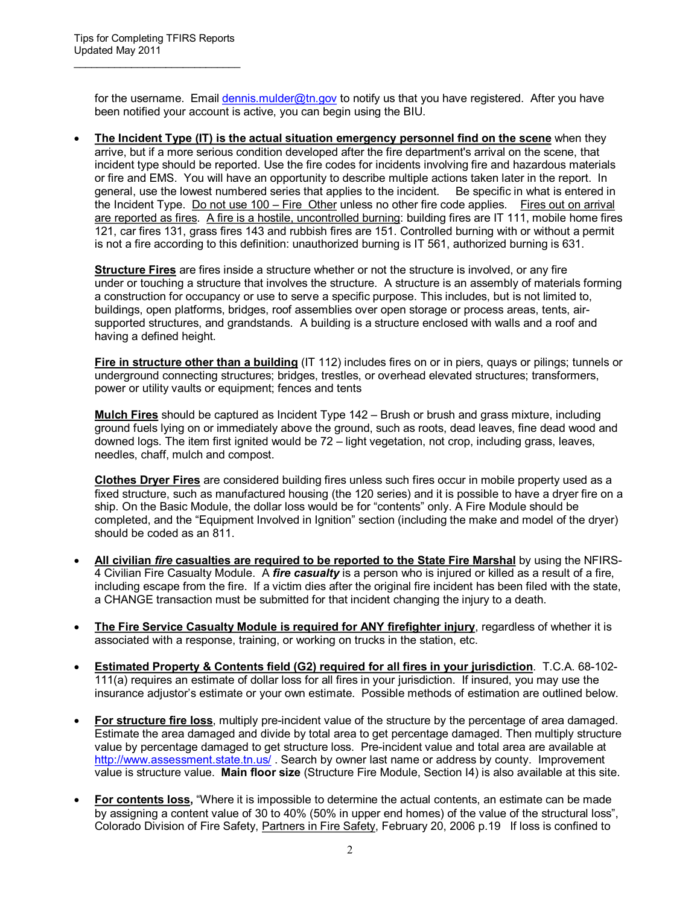\_\_\_\_\_\_\_\_\_\_\_\_\_\_\_\_\_\_\_\_\_\_\_\_\_\_\_\_\_

for the username. Email [dennis.mulder@tn.gov](mailto:dennis.mulder@tn.gov) to notify us that you have registered. After you have been notified your account is active, you can begin using the BIU.

· **The Incident Type (IT) is the actual situation emergency personnel find on the scene** when they arrive, but if a more serious condition developed after the fire department's arrival on the scene, that incident type should be reported. Use the fire codes for incidents involving fire and hazardous materials or fire and EMS. You will have an opportunity to describe multiple actions taken later in the report. In general, use the lowest numbered series that applies to the incident. Be specific in what is entered in the Incident Type. Do not use 100 - Fire Other unless no other fire code applies. Fires out on arrival are reported as fires. A fire is a hostile, uncontrolled burning: building fires are IT 111, mobile home fires 121, car fires 131, grass fires 143 and rubbish fires are 151. Controlled burning with or without a permit is not a fire according to this definition: unauthorized burning is IT 561, authorized burning is 631.

**Structure Fires** are fires inside a structure whether or not the structure is involved, or any fire under or touching a structure that involves the structure. A structure is an assembly of materials forming a construction for occupancy or use to serve a specific purpose. This includes, but is not limited to, buildings, open platforms, bridges, roof assemblies over open storage or process areas, tents, air supported structures, and grandstands. A building is a structure enclosed with walls and a roof and having a defined height.

**Fire in structure other than a building** (IT 112) includes fires on or in piers, quays or pilings; tunnels or underground connecting structures; bridges, trestles, or overhead elevated structures; transformers, power or utility vaults or equipment; fences and tents

**Mulch Fires** should be captured as Incident Type 142 – Brush or brush and grass mixture, including ground fuels lying on or immediately above the ground, such as roots, dead leaves, fine dead wood and downed logs. The item first ignited would be 72 – light vegetation, not crop, including grass, leaves, needles, chaff, mulch and compost.

**Clothes Dryer Fires** are considered building fires unless such fires occur in mobile property used as a fixed structure, such as manufactured housing (the 120 series) and it is possible to have a dryer fire on a ship. On the Basic Module, the dollar loss would be for "contents" only. A Fire Module should be completed, and the "Equipment Involved in Ignition" section (including the make and model of the dryer) should be coded as an 811.

- · **All civilian** *fire* **casualties are required to be reported to the State Fire Marshal** by using the NFIRS 4 Civilian Fire Casualty Module. A *fire casualty* is a person who is injured or killed as a result of a fire, including escape from the fire. If a victim dies after the original fire incident has been filed with the state, a CHANGE transaction must be submitted for that incident changing the injury to a death.
- · **The Fire Service Casualty Module is required for ANY firefighter injury**, regardless of whether it is associated with a response, training, or working on trucks in the station, etc.
- · **Estimated Property & Contents field (G2) required for all fires in your jurisdiction**. T.C.A. 68102 111(a) requires an estimate of dollar loss for all fires in your jurisdiction. If insured, you may use the insurance adjustor's estimate or your own estimate. Possible methods of estimation are outlined below.
- · **For structure fire loss**, multiply preincident value of the structure by the percentage of area damaged. Estimate the area damaged and divide by total area to get percentage damaged. Then multiply structure value by percentage damaged to get structure loss. Preincident value and total area are available at <http://www.assessment.state.tn.us/> . Search by owner last name or address by county. Improvement value is structure value. **Main floor size** (Structure Fire Module, Section I4) is also available at this site.
- · **For contents loss,** "Where it is impossible to determine the actual contents, an estimate can be made by assigning a content value of 30 to 40% (50% in upper end homes) of the value of the structural loss", Colorado Division of Fire Safety, Partners in Fire Safety, February 20, 2006 p.19 If loss is confined to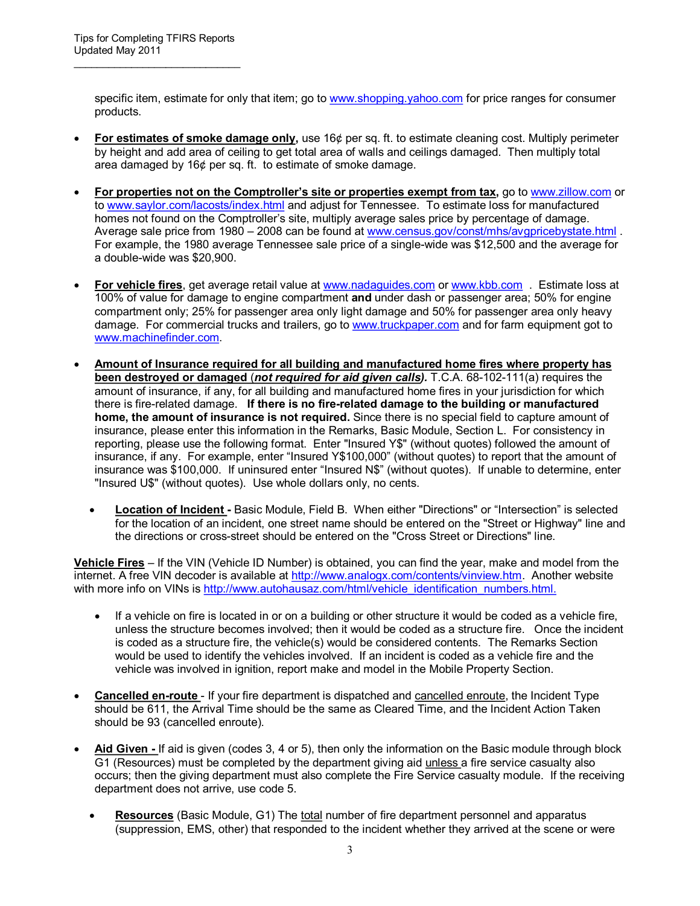\_\_\_\_\_\_\_\_\_\_\_\_\_\_\_\_\_\_\_\_\_\_\_\_\_\_\_\_\_

specific item, estimate for only that item; go to [www.shopping.yahoo.com](http://www.shopping.yahoo.com/) for price ranges for consumer products.

- · **For estimates of smoke damage only,** use 16¢ per sq. ft. to estimate cleaning cost. Multiply perimeter by height and add area of ceiling to get total area of walls and ceilings damaged. Then multiply total area damaged by 16¢ per sq. ft. to estimate of smoke damage.
- · **For properties not on the Comptroller's site or properties exempt from tax,** go to [www.zillow.com](http://www.zillow.com/) or to [www.saylor.com/lacosts/index.html](http://www.saylor.com/lacosts/index.html) and adjust for Tennessee. To estimate loss for manufactured homes not found on the Comptroller's site, multiply average sales price by percentage of damage. Average sale price from 1980 – 2008 can be found at [www.census.gov/const/mhs/avgpricebystate.html](http://www.census.gov/const/mhs/avgpricebystate.html) . For example, the 1980 average Tennessee sale price of a single-wide was \$12,500 and the average for a double-wide was \$20,900.
- · **For vehicle fires**, get average retail value at [www.nadaguides.com](http://www.nadaguides.com/) or [www.kbb.com](http://www.kbb.com/) . Estimate loss at 100% of value for damage to engine compartment **and** under dash or passenger area; 50% for engine compartment only; 25% for passenger area only light damage and 50% for passenger area only heavy damage. For commercial trucks and trailers, go to [www.truckpaper.com](http://www.truckpaper.com/) and for farm equipment got to [www.machinefinder.com.](http://www.machinefinder.com/)
- · **Amount of Insurance required for all building and manufactured home fires where property has been** destroyed or damaged (*not required for aid given calls*). T.C.A. 68-102-111(a) requires the amount of insurance, if any, for all building and manufactured home fires in your jurisdiction for which there is firerelated damage. **If there is no firerelated damage to the building or manufactured home, the amount of insurance is not required.** Since there is no special field to capture amount of insurance, please enter this information in the Remarks, Basic Module, Section L. For consistency in reporting, please use the following format. Enter "Insured Y\$" (without quotes) followed the amount of insurance, if any. For example, enter "Insured Y\$100,000" (without quotes) to report that the amount of insurance was \$100,000. If uninsured enter "Insured N\$" (without quotes). If unable to determine, enter "Insured U\$" (without quotes). Use whole dollars only, no cents.
	- · **Location of Incident**  Basic Module, Field B. When either "Directions" or "Intersection" is selected for the location of an incident, one street name should be entered on the "Street or Highway" line and the directions or crossstreet should be entered on the "Cross Street or Directions" line.

**Vehicle Fires** – If the VIN (Vehicle ID Number) is obtained, you can find the year, make and model from the internet. A free VIN decoder is available at http://www.analogx.com/contents/vinview.htm. Another website with more info on VINs is http://www.autohausaz.com/html/vehicle\_identification\_numbers.html.

- · If a vehicle on fire is located in or on a building or other structure it would be coded as a vehicle fire, unless the structure becomes involved; then it would be coded as a structure fire. Once the incident is coded as a structure fire, the vehicle(s) would be considered contents. The Remarks Section would be used to identify the vehicles involved. If an incident is coded as a vehicle fire and the vehicle was involved in ignition, report make and model in the Mobile Property Section.
- **Cancelled en-route** If your fire department is dispatched and cancelled enroute, the Incident Type should be 611, the Arrival Time should be the same as Cleared Time, and the Incident Action Taken should be 93 (cancelled enroute).
- Aid Given If aid is given (codes 3, 4 or 5), then only the information on the Basic module through block G1 (Resources) must be completed by the department giving aid unless a fire service casualty also occurs; then the giving department must also complete the Fire Service casualty module. If the receiving department does not arrive, use code 5.
	- · **Resources** (Basic Module, G1) The total number of fire department personnel and apparatus (suppression, EMS, other) that responded to the incident whether they arrived at the scene or were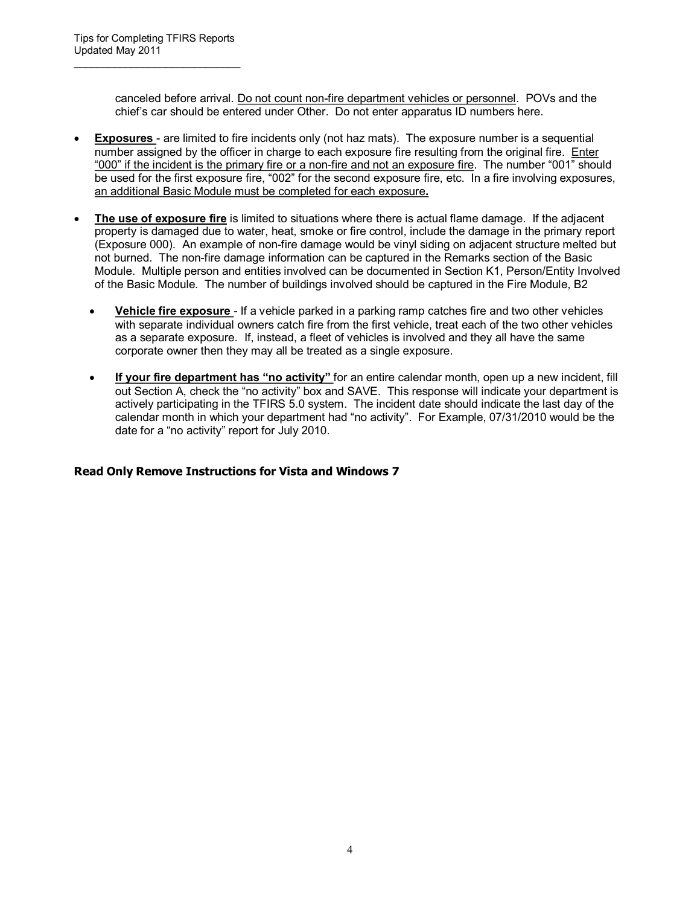\_\_\_\_\_\_\_\_\_\_\_\_\_\_\_\_\_\_\_\_\_\_\_\_\_\_\_\_\_

canceled before arrival. Do not count non-fire department vehicles or personnel. POVs and the chief's car should be entered under Other. Do not enter apparatus ID numbers here.

- **Exposures** are limited to fire incidents only (not haz mats). The exposure number is a sequential number assigned by the officer in charge to each exposure fire resulting from the original fire. Enter "000" if the incident is the primary fire or a nonfire and not an exposure fire. The number "001" should be used for the first exposure fire, "002" for the second exposure fire, etc. In a fire involving exposures, an additional Basic Module must be completed for each exposure**.**
- · **The use of exposure fire** is limited to situations where there is actual flame damage. If the adjacent property is damaged due to water, heat, smoke or fire control, include the damage in the primary report (Exposure 000). An example of non-fire damage would be vinyl siding on adjacent structure melted but not burned. The non-fire damage information can be captured in the Remarks section of the Basic Module. Multiple person and entities involved can be documented in Section K1, Person/Entity Involved of the Basic Module. The number of buildings involved should be captured in the Fire Module, B2
	- · **Vehicle fire exposure** If a vehicle parked in a parking ramp catches fire and two other vehicles with separate individual owners catch fire from the first vehicle, treat each of the two other vehicles as a separate exposure. If, instead, a fleet of vehicles is involved and they all have the same corporate owner then they may all be treated as a single exposure.
	- · **If your fire department has "no activity"** for an entire calendar month, open up a new incident, fill out Section A, check the "no activity" box and SAVE. This response will indicate your department is actively participating in the TFIRS 5.0 system. The incident date should indicate the last day of the calendar month in which your department had "no activity". For Example, 07/31/2010 would be the date for a "no activity" report for July 2010.

## **Read Only Remove Instructions for Vista and Windows 7**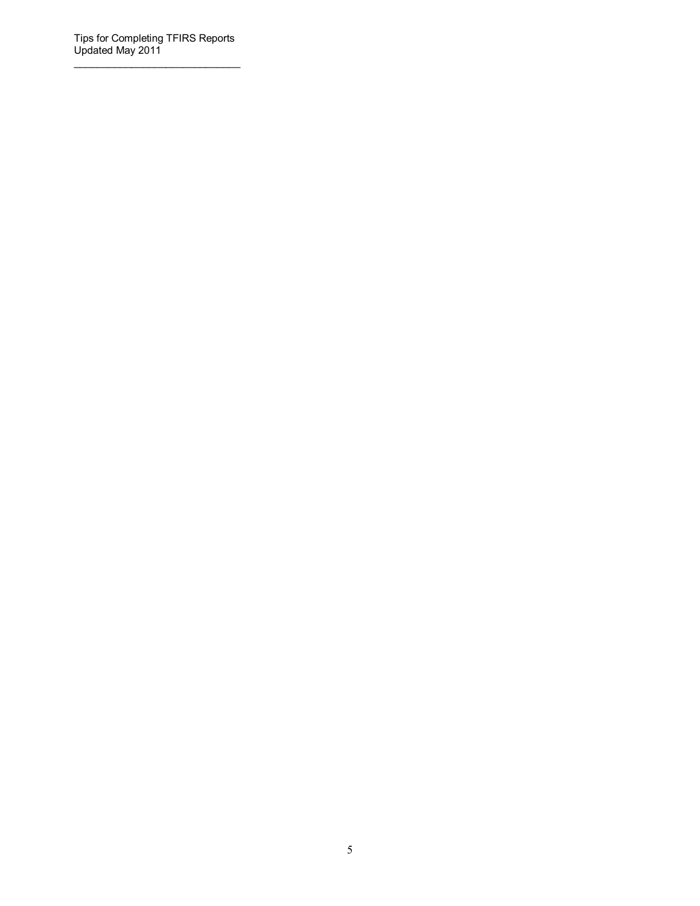Tips for Completing TFIRS Reports Updated May 2011

\_\_\_\_\_\_\_\_\_\_\_\_\_\_\_\_\_\_\_\_\_\_\_\_\_\_\_\_\_